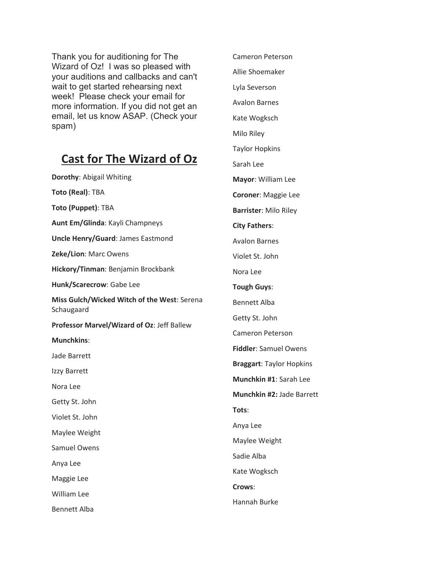Thank you for auditioning for The Wizard of Oz! I was so pleased with your auditions and callbacks and can't wait to get started rehearsing next week! Please check your email for more information. If you did not get an email, let us know ASAP. (Check your spam)

## **Cast for The Wizard of Oz**

**Dorothy**: Abigail Whiting **Toto (Real)**: TBA **Toto (Puppet)**: TBA **Aunt Em/Glinda**: Kayli Champneys **Uncle Henry/Guard**: James Eastmond **Zeke/Lion**: Marc Owens **Hickory/Tinman**: Benjamin Brockbank **Hunk/Scarecrow**: Gabe Lee **Miss Gulch/Wicked Witch of the West**: Serena Schaugaard **Professor Marvel/Wizard of Oz**: Jeff Ballew **Munchkins**: Jade Barrett Izzy Barrett Nora Lee Getty St. John Violet St. John Maylee Weight Samuel Owens Anya Lee Maggie Lee William Lee Bennett Alba

Cameron Peterson Allie Shoemaker Lyla Severson Avalon Barnes Kate Wogksch Milo Riley Taylor Hopkins Sarah Lee **Mayor**: William Lee **Coroner**: Maggie Lee **Barrister**: Milo Riley **City Fathers**: Avalon Barnes Violet St. John Nora Lee **Tough Guys**: Bennett Alba Getty St. John Cameron Peterson **Fiddler**: Samuel Owens **Braggart**: Taylor Hopkins **Munchkin #1**: Sarah Lee **Munchkin #2:** Jade Barrett **Tots**: Anya Lee Maylee Weight Sadie Alba Kate Wogksch **Crows**:

Hannah Burke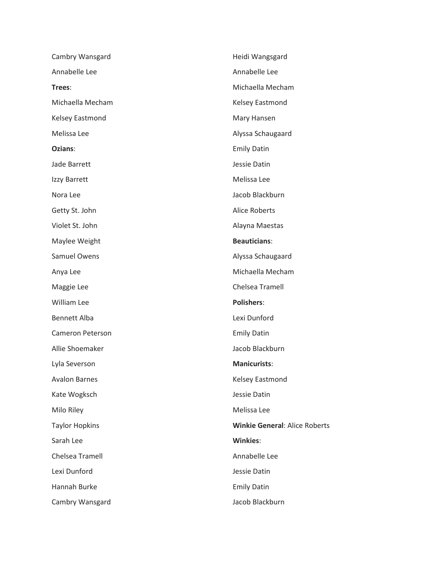| Cambry Wansgard        | Heidi Wangsgard                      |
|------------------------|--------------------------------------|
| Annabelle Lee          | Annabelle Lee                        |
| Trees:                 | Michaella Mecham                     |
| Michaella Mecham       | Kelsey Eastmond                      |
| Kelsey Eastmond        | Mary Hansen                          |
| Melissa Lee            | Alyssa Schaugaard                    |
| Ozians:                | <b>Emily Datin</b>                   |
| Jade Barrett           | Jessie Datin                         |
| Izzy Barrett           | Melissa Lee                          |
| Nora Lee               | Jacob Blackburn                      |
| Getty St. John         | <b>Alice Roberts</b>                 |
| Violet St. John        | Alayna Maestas                       |
| Maylee Weight          | <b>Beauticians:</b>                  |
| Samuel Owens           | Alyssa Schaugaard                    |
| Anya Lee               | Michaella Mecham                     |
| Maggie Lee             | Chelsea Tramell                      |
| William Lee            | <b>Polishers:</b>                    |
| <b>Bennett Alba</b>    | Lexi Dunford                         |
| Cameron Peterson       | <b>Emily Datin</b>                   |
| Allie Shoemaker        | Jacob Blackburn                      |
| Lyla Severson          | <b>Manicurists:</b>                  |
| <b>Avalon Barnes</b>   | Kelsey Eastmond                      |
| Kate Wogksch           | Jessie Datin                         |
| Milo Riley             | Melissa Lee                          |
| <b>Taylor Hopkins</b>  | <b>Winkie General: Alice Roberts</b> |
| Sarah Lee              | <b>Winkies:</b>                      |
| <b>Chelsea Tramell</b> | Annabelle Lee                        |
| Lexi Dunford           | Jessie Datin                         |
| Hannah Burke           | <b>Emily Datin</b>                   |
| Cambry Wansgard        | Jacob Blackburn                      |